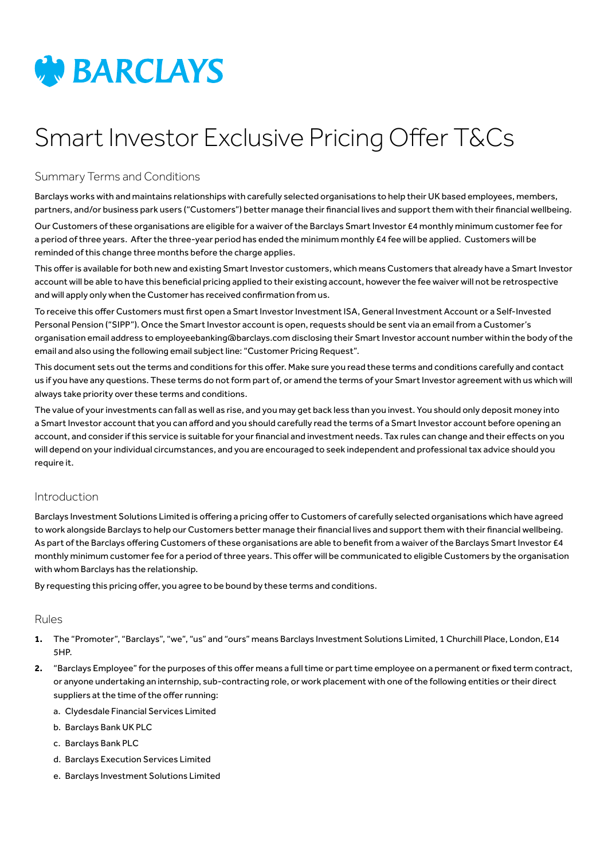

# Smart Investor Exclusive Pricing Offer T&Cs

# Summary Terms and Conditions

Barclays works with and maintains relationships with carefully selected organisations to help their UK based employees, members, partners, and/or business park users ("Customers") better manage their financial lives and support them with their financial wellbeing.

Our Customers of these organisations are eligible for a waiver of the Barclays Smart Investor £4 monthly minimum customer fee for a period of three years. After the three-year period has ended the minimum monthly £4 fee will be applied. Customers will be reminded of this change three months before the charge applies.

This offer is available for both new and existing Smart Investor customers, which means Customers that already have a Smart Investor account will be able to have this beneficial pricing applied to their existing account, however the fee waiver will not be retrospective and will apply only when the Customer has received confirmation from us.

To receive this offer Customers must first open a Smart Investor Investment ISA, General Investment Account or a Self-Invested Personal Pension ("SIPP"). Once the Smart Investor account is open, requests should be sent via an email from a Customer's organisation email address to employeebanking@barclays.com disclosing their Smart Investor account number within the body of the email and also using the following email subject line: "Customer Pricing Request".

This document sets out the terms and conditions for this offer. Make sure you read these terms and conditions carefully and contact us if you have any questions. These terms do not form part of, or amend the terms of your Smart Investor agreement with us which will always take priority over these terms and conditions.

The value of your investments can fall as well as rise, and you may get back less than you invest. You should only deposit money into a Smart Investor account that you can afford and you should carefully read the terms of a Smart Investor account before opening an account, and consider if this service is suitable for your financial and investment needs. Tax rules can change and their effects on you will depend on your individual circumstances, and you are encouraged to seek independent and professional tax advice should you require it.

### Introduction

Barclays Investment Solutions Limited is offering a pricing offer to Customers of carefully selected organisations which have agreed to work alongside Barclays to help our Customers better manage their financial lives and support them with their financial wellbeing. As part of the Barclays offering Customers of these organisations are able to benefit from a waiver of the Barclays Smart Investor £4 monthly minimum customer fee for a period of three years. This offer will be communicated to eligible Customers by the organisation with whom Barclays has the relationship.

By requesting this pricing offer, you agree to be bound by these terms and conditions.

### Rules

- **1.** The "Promoter", "Barclays", "we", "us" and "ours" means Barclays Investment Solutions Limited, 1 Churchill Place, London, E14 5HP.
- **2.** "Barclays Employee" for the purposes of this offer means a full time or part time employee on a permanent or fixed term contract, or anyone undertaking an internship, sub-contracting role, or work placement with one of the following entities or their direct suppliers at the time of the offer running:
	- a. Clydesdale Financial Services Limited
	- b. Barclays Bank UK PLC
	- c. Barclays Bank PLC
	- d. Barclays Execution Services Limited
	- e. Barclays Investment Solutions Limited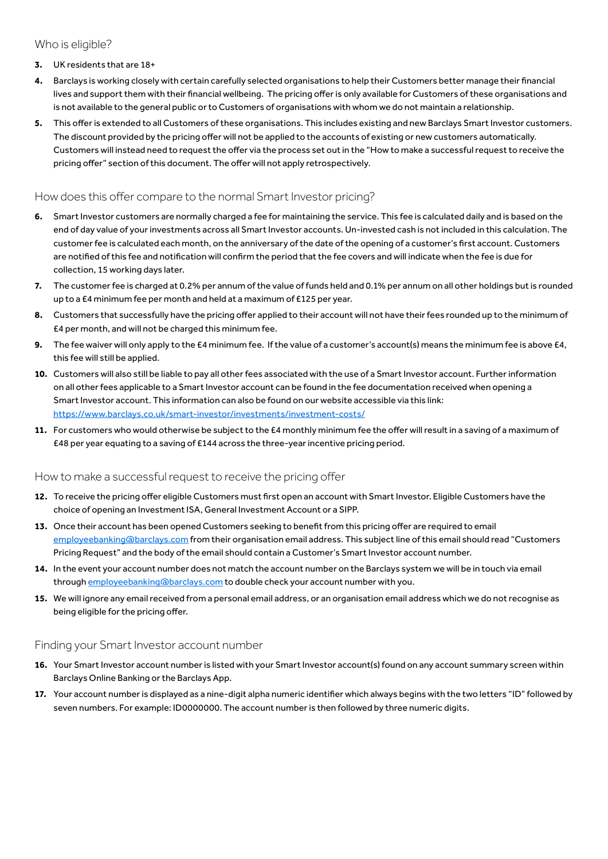# Who is eligible?

#### **3.** UK residents that are 18+

- **4.** Barclays is working closely with certain carefully selected organisations to help their Customers better manage their financial lives and support them with their financial wellbeing. The pricing offer is only available for Customers of these organisations and is not available to the general public or to Customers of organisations with whom we do not maintain a relationship.
- **5.** This offer is extended to all Customers of these organisations. This includes existing and new Barclays Smart Investor customers. The discount provided by the pricing offer will not be applied to the accounts of existing or new customers automatically. Customers will instead need to request the offer via the process set out in the "How to make a successful request to receive the pricing offer" section of this document. The offer will not apply retrospectively.

# How does this offer compare to the normal Smart Investor pricing?

- **6.** Smart Investor customers are normally charged a fee for maintaining the service. This fee is calculated daily and is based on the end of day value of your investments across all Smart Investor accounts. Un-invested cash is not included in this calculation. The customer fee is calculated each month, on the anniversary of the date of the opening of a customer's first account. Customers are notified of this fee and notification will confirm the period that the fee covers and will indicate when the fee is due for collection, 15 working days later.
- **7.** The customer fee is charged at 0.2% per annum of the value of funds held and 0.1% per annum on all other holdings but is rounded up to a £4 minimum fee per month and held at a maximum of £125 per year.
- **8.** Customers that successfully have the pricing offer applied to their account will not have their fees rounded up to the minimum of £4 per month, and will not be charged this minimum fee.
- **9.** The fee waiver will only apply to the £4 minimum fee. If the value of a customer's account(s) means the minimum fee is above £4, this fee will still be applied.
- **10.** Customers will also still be liable to pay all other fees associated with the use of a Smart Investor account. Further information on all other fees applicable to a Smart Investor account can be found in the fee documentation received when opening a Smart Investor account. This information can also be found on our website accessible via this link: <https://www.barclays.co.uk/smart-investor/investments/investment-costs/>
- **11.** For customers who would otherwise be subject to the £4 monthly minimum fee the offer will result in a saving of a maximum of £48 per year equating to a saving of £144 across the three-year incentive pricing period.

### How to make a successful request to receive the pricing offer

- **12.** To receive the pricing offer eligible Customers must first open an account with Smart Investor. Eligible Customers have the choice of opening an Investment ISA, General Investment Account or a SIPP.
- **13.** Once their account has been opened Customers seeking to benefit from this pricing offer are required to email [employeebanking@barclays.com](mailto:employeebanking%40barclays.com?subject=) from their organisation email address. This subject line of this email should read "Customers Pricing Request" and the body of the email should contain a Customer's Smart Investor account number.
- **14.** In the event your account number does not match the account number on the Barclays system we will be in touch via email through [employeebanking@barclays.com](mailto:employeebanking%40barclays.com?subject=) to double check your account number with you.
- **15.** We will ignore any email received from a personal email address, or an organisation email address which we do not recognise as being eligible for the pricing offer.

# Finding your Smart Investor account number

- **16.** Your Smart Investor account number is listed with your Smart Investor account(s) found on any account summary screen within Barclays Online Banking or the Barclays App.
- **17.** Your account number is displayed as a nine-digit alpha numeric identifier which always begins with the two letters "ID" followed by seven numbers. For example: ID0000000. The account number is then followed by three numeric digits.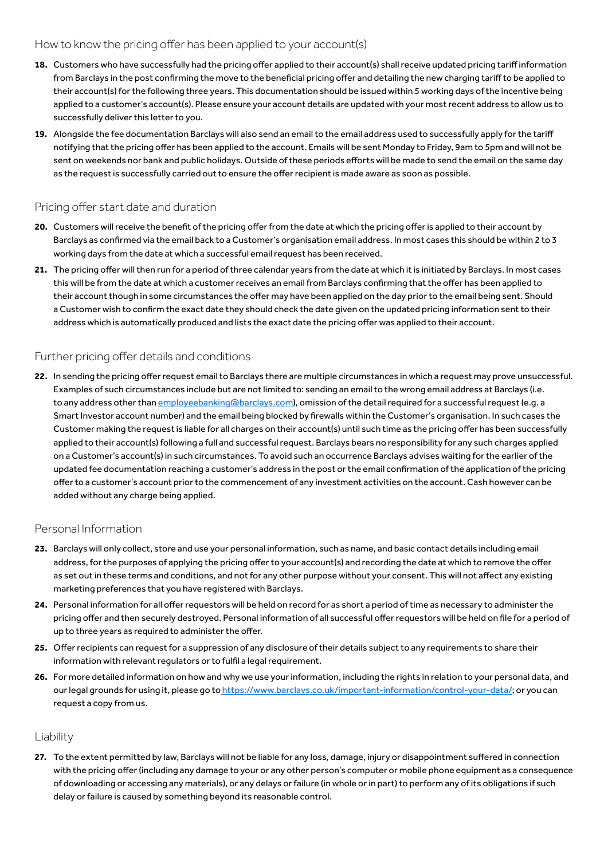#### How to know the pricing offer has been applied to your account(s)

- **18.** Customers who have successfully had the pricing offer applied to their account(s) shall receive updated pricing tariff information from Barclays in the post confirming the move to the beneficial pricing offer and detailing the new charging tariff to be applied to their account(s) for the following three years. This documentation should be issued within 5 working days of the incentive being applied to a customer's account(s). Please ensure your account details are updated with your most recent address to allow us to successfully deliver this letter to you.
- **19.** Alongside the fee documentation Barclays will also send an email to the email address used to successfully apply for the tariff notifying that the pricing offer has been applied to the account. Emails will be sent Monday to Friday, 9am to 5pm and will not be sent on weekends nor bank and public holidays. Outside of these periods efforts will be made to send the email on the same day as the request is successfully carried out to ensure the offer recipient is made aware as soon as possible.

# Pricing offer start date and duration

- **20.** Customers will receive the benefit of the pricing offer from the date at which the pricing offer is applied to their account by Barclays as confirmed via the email back to a Customer's organisation email address. In most cases this should be within 2 to 3 working days from the date at which a successful email request has been received.
- **21.** The pricing offer will then run for a period of three calendar years from the date at which it is initiated by Barclays. In most cases this will be from the date at which a customer receives an email from Barclays confirming that the offer has been applied to their account though in some circumstances the offer may have been applied on the day prior to the email being sent. Should a Customer wish to confirm the exact date they should check the date given on the updated pricing information sent to their address which is automatically produced and lists the exact date the pricing offer was applied to their account.

#### Further pricing offer details and conditions

**22.** In sending the pricing offer request email to Barclays there are multiple circumstances in which a request may prove unsuccessful. Examples of such circumstances include but are not limited to: sending an email to the wrong email address at Barclays (i.e. to any address other than [employeebanking@barclays.com](mailto:employeebanking%40barclays.com?subject=)), omission of the detail required for a successful request (e.g. a Smart Investor account number) and the email being blocked by firewalls within the Customer's organisation. In such cases the Customer making the request is liable for all charges on their account(s) until such time as the pricing offer has been successfully applied to their account(s) following a full and successful request. Barclays bears no responsibility for any such charges applied on a Customer's account(s) in such circumstances. To avoid such an occurrence Barclays advises waiting for the earlier of the updated fee documentation reaching a customer's address in the post or the email confirmation of the application of the pricing offer to a customer's account prior to the commencement of any investment activities on the account. Cash however can be added without any charge being applied.

### Personal Information

- **23.** Barclays will only collect, store and use your personal information, such as name, and basic contact details including email address, for the purposes of applying the pricing offer to your account(s) and recording the date at which to remove the offer as set out in these terms and conditions, and not for any other purpose without your consent. This will not affect any existing marketing preferences that you have registered with Barclays.
- **24.** Personal information for all offer requestors will be held on record for as short a period of time as necessary to administer the pricing offer and then securely destroyed. Personal information of all successful offer requestors will be held on file for a period of up to three years as required to administer the offer.
- **25.** Offer recipients can request for a suppression of any disclosure of their details subject to any requirements to share their information with relevant regulators or to fulfil a legal requirement.
- **26.** For more detailed information on how and why we use your information, including the rights in relation to your personal data, and our legal grounds for using it, please go to [https://www.barclays.co.uk/important-information/control-your-data/]( https://www.barclays.co.uk/important-information/control-your-data/); or you can request a copy from us.

#### Liability

**27.** To the extent permitted by law, Barclays will not be liable for any loss, damage, injury or disappointment suffered in connection with the pricing offer (including any damage to your or any other person's computer or mobile phone equipment as a consequence of downloading or accessing any materials), or any delays or failure (in whole or in part) to perform any of its obligations if such delay or failure is caused by something beyond its reasonable control.